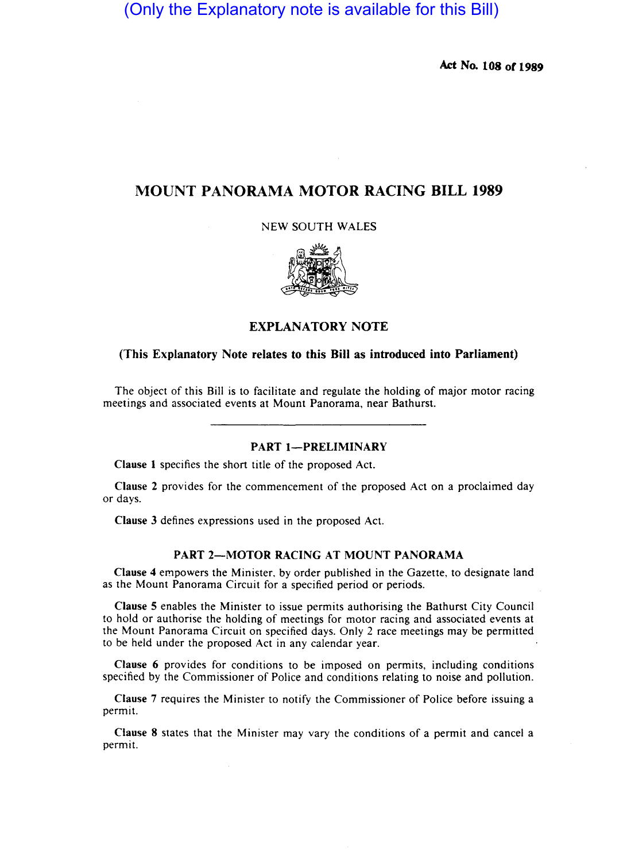(Only the Explanatory note is available for this Bill)

Act No. 108 or 1989

# MOUNT PANORAMA MOTOR RACING BILL 1989

NEW SOUTH WALES



# EXPLANATORY NOTE

## (This Explanatory Note relates to this Bill as introduced into Parliament)

The object of this Bill is to facilitate and regulate the holding of major motor racing meetings and associated events at Mount Panorama, near Bathurst.

# PART 1-PRELIMINARY

Clause I specifies the short title of the proposed Act.

Clause 2 provides for the commencement of the proposed Act on a proclaimed day or days.

Clause 3 defines expressions used in the proposed Act.

#### PART 2-MOTOR RACING AT MOUNT PANORAMA

Clause 4 empowers the Minister, by order published in the Gazette, to designate land as the Mount Panorama Circuit for a specified period or periods.

Clause 5 enables the Minister to issue permits authorising the Bathurst City Council to hold or authorise the holding of meetings for motor racing and associated events at the Mount Panorama Circuit on specified days. Only 2 race meetings may be permitted to be held under the proposed Act in any calendar year.

Clause 6 provides for conditions to be imposed on permits, including conditions specified by the Commissioner of Police and conditions relating to noise and pollution.

Clause 7 requires the Minister to notify the Commissioner of Police before issuing a permit.

Clause 8 states that the Minister may vary the conditions of a permit and cancel a permit.